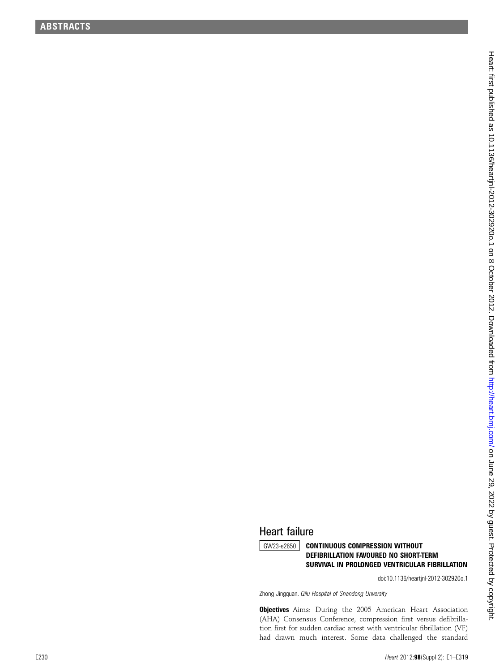## Heart failure

**GW23-e2650** CONTINUOUS COMPRESSION WITHOUT DEFIBRILLATION FAVOURED NO SHORT-TERM SURVIVAL IN PROLONGED VENTRICULAR FIBRILLATION

doi:10.1136/heartjnl-2012-302920o.1

Zhong Jingquan. Qilu Hospital of Shandong Unversity

**Objectives** Aims: During the 2005 American Heart Association (AHA) Consensus Conference, compression first versus de fibrillation first for sudden cardiac arrest with ventricular fibrillation (VF) had drawn much interest. Some data challenged the standard